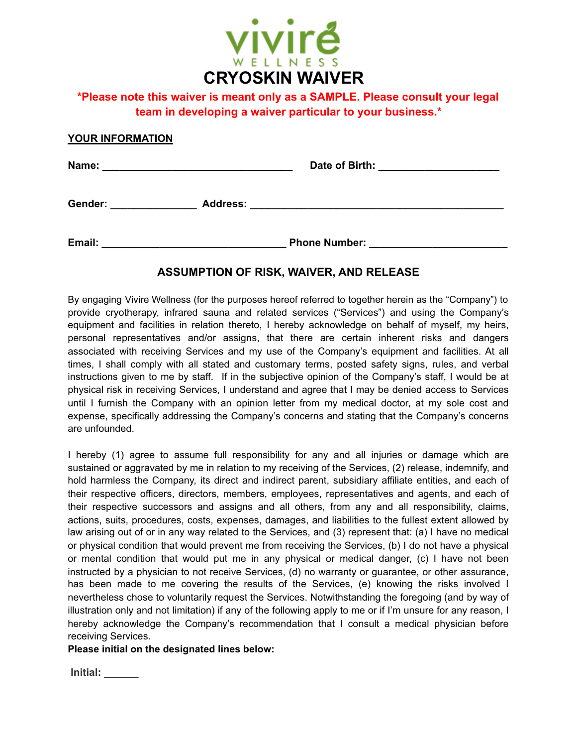

# **\*Please note this waiver is meant only as a SAMPLE. Please consult your legal team in developing a waiver particular to your business.\***

### **YOUR INFORMATION**

| Name:                      | Date of Birth:       |
|----------------------------|----------------------|
| Gender:<br><b>Address:</b> |                      |
| Email:                     | <b>Phone Number:</b> |

## **ASSUMPTION OF RISK, WAIVER, AND RELEASE**

By engaging Vivire Wellness (for the purposes hereof referred to together herein as the "Company") to provide cryotherapy, infrared sauna and related services ("Services") and using the Company's equipment and facilities in relation thereto, I hereby acknowledge on behalf of myself, my heirs, personal representatives and/or assigns, that there are certain inherent risks and dangers associated with receiving Services and my use of the Company's equipment and facilities. At all times, I shall comply with all stated and customary terms, posted safety signs, rules, and verbal instructions given to me by staff. If in the subjective opinion of the Company's staff, I would be at physical risk in receiving Services, I understand and agree that I may be denied access to Services until I furnish the Company with an opinion letter from my medical doctor, at my sole cost and expense, specifically addressing the Company's concerns and stating that the Company's concerns are unfounded.

I hereby (1) agree to assume full responsibility for any and all injuries or damage which are sustained or aggravated by me in relation to my receiving of the Services, (2) release, indemnify, and hold harmless the Company, its direct and indirect parent, subsidiary affiliate entities, and each of their respective officers, directors, members, employees, representatives and agents, and each of their respective successors and assigns and all others, from any and all responsibility, claims, actions, suits, procedures, costs, expenses, damages, and liabilities to the fullest extent allowed by law arising out of or in any way related to the Services, and (3) represent that: (a) I have no medical or physical condition that would prevent me from receiving the Services, (b) I do not have a physical or mental condition that would put me in any physical or medical danger, (c) I have not been instructed by a physician to not receive Services, (d) no warranty or guarantee, or other assurance, has been made to me covering the results of the Services, (e) knowing the risks involved I nevertheless chose to voluntarily request the Services. Notwithstanding the foregoing (and by way of illustration only and not limitation) if any of the following apply to me or if I'm unsure for any reason, I hereby acknowledge the Company's recommendation that I consult a medical physician before receiving Services.

#### **Please initial on the designated lines below:**

**Initial:** \_\_\_\_\_\_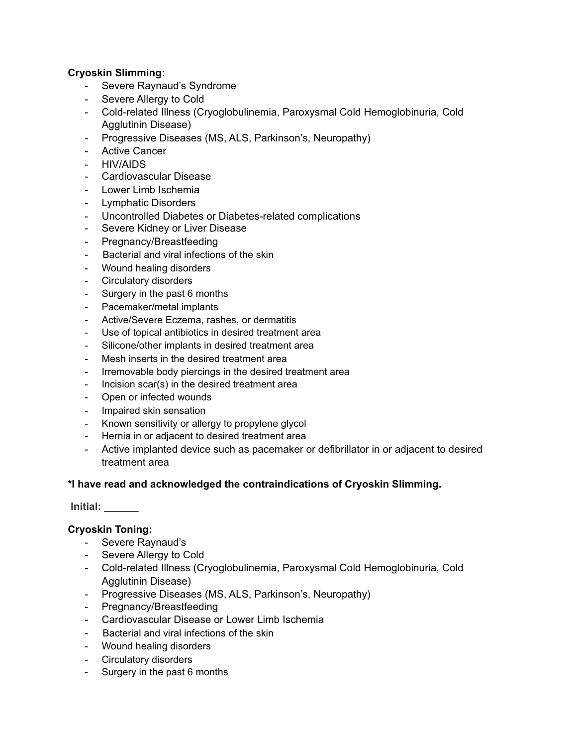## **Cryoskin Slimming:**

- Severe Raynaud's Syndrome
- Severe Allergy to Cold
- Cold-related Illness (Cryoglobulinemia, Paroxysmal Cold Hemoglobinuria, Cold Agglutinin Disease)
- Progressive Diseases (MS, ALS, Parkinson's, Neuropathy)
- Active Cancer
- HIV/AIDS
- Cardiovascular Disease
- Lower Limb Ischemia
- Lymphatic Disorders
- Uncontrolled Diabetes or Diabetes-related complications
- Severe Kidney or Liver Disease
- Pregnancy/Breastfeeding
- Bacterial and viral infections of the skin
- Wound healing disorders
- Circulatory disorders
- Surgery in the past 6 months
- Pacemaker/metal implants
- Active/Severe Eczema, rashes, or dermatitis
- Use of topical antibiotics in desired treatment area
- Silicone/other implants in desired treatment area
- Mesh inserts in the desired treatment area
- Irremovable body piercings in the desired treatment area
- Incision scar(s) in the desired treatment area
- Open or infected wounds
- Impaired skin sensation
- Known sensitivity or allergy to propylene glycol
- Hernia in or adjacent to desired treatment area
- Active implanted device such as pacemaker or defibrillator in or adjacent to desired treatment area

## **\*I have read and acknowledged the contraindications of Cryoskin Slimming.**

 **Initial: \_\_\_\_\_\_** 

# **Cryoskin Toning:**

- Severe Raynaud's
- Severe Allergy to Cold
- Cold-related Illness (Cryoglobulinemia, Paroxysmal Cold Hemoglobinuria, Cold Agglutinin Disease)
- Progressive Diseases (MS, ALS, Parkinson's, Neuropathy)
- Pregnancy/Breastfeeding
- Cardiovascular Disease or Lower Limb Ischemia
- Bacterial and viral infections of the skin
- Wound healing disorders
- Circulatory disorders
- Surgery in the past 6 months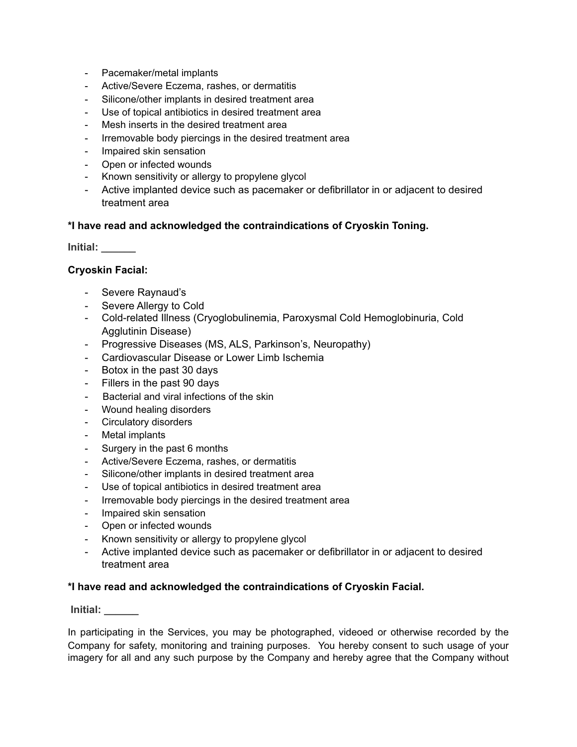- Pacemaker/metal implants
- Active/Severe Eczema, rashes, or dermatitis
- Silicone/other implants in desired treatment area
- Use of topical antibiotics in desired treatment area
- Mesh inserts in the desired treatment area
- Irremovable body piercings in the desired treatment area
- Impaired skin sensation
- Open or infected wounds
- Known sensitivity or allergy to propylene glycol
- Active implanted device such as pacemaker or defibrillator in or adjacent to desired treatment area

### **\*I have read and acknowledged the contraindications of Cryoskin Toning.**

**Initial: \_\_\_\_\_\_** 

### **Cryoskin Facial:**

- Severe Raynaud's
- Severe Allergy to Cold
- Cold-related Illness (Cryoglobulinemia, Paroxysmal Cold Hemoglobinuria, Cold Agglutinin Disease)
- Progressive Diseases (MS, ALS, Parkinson's, Neuropathy)
- Cardiovascular Disease or Lower Limb Ischemia
- Botox in the past 30 days
- Fillers in the past 90 days
- Bacterial and viral infections of the skin
- Wound healing disorders
- Circulatory disorders
- Metal implants
- Surgery in the past 6 months
- Active/Severe Eczema, rashes, or dermatitis
- Silicone/other implants in desired treatment area
- Use of topical antibiotics in desired treatment area
- Irremovable body piercings in the desired treatment area
- Impaired skin sensation
- Open or infected wounds
- Known sensitivity or allergy to propylene glycol
- Active implanted device such as pacemaker or defibrillator in or adjacent to desired treatment area

#### **\*I have read and acknowledged the contraindications of Cryoskin Facial.**

 **Initial: \_\_\_\_\_\_** 

In participating in the Services, you may be photographed, videoed or otherwise recorded by the Company for safety, monitoring and training purposes. You hereby consent to such usage of your imagery for all and any such purpose by the Company and hereby agree that the Company without